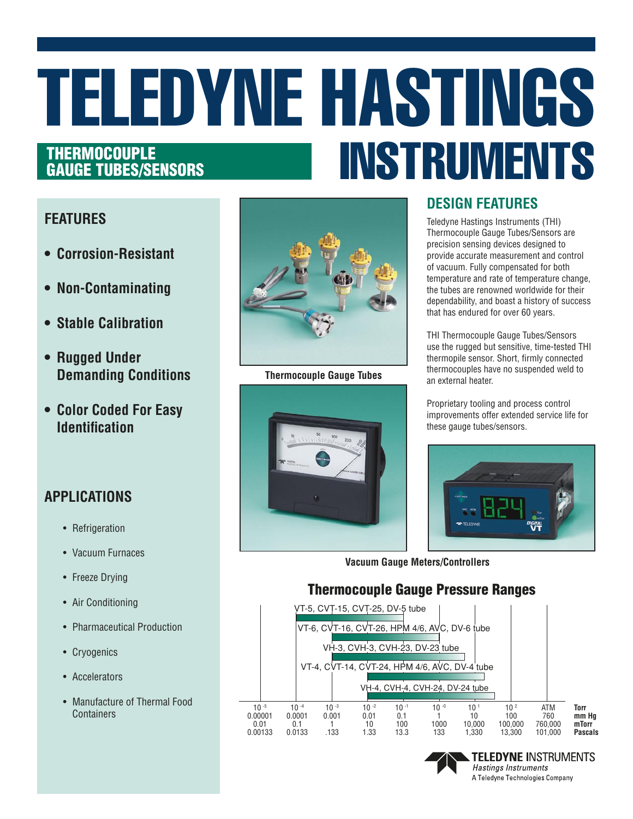# TELEDYNE HASTINGS INSTRUMENTS THERMOCOUPLE GAUGE TUBES/SENSORS

#### **FEATURES**

- **• Corrosion-Resistant**
- **• Non-Contaminating**
- **• Stable Calibration**
- **• Rugged Under Demanding Conditions**
- **• Color Coded For Easy Identification**

## **APPLICATIONS**

- Refrigeration
- Vacuum Furnaces
- Freeze Drying
- Air Conditioning
- Pharmaceutical Production
- Cryogenics
- Accelerators
- Manufacture of Thermal Food **Containers**



**Thermocouple Gauge Tubes**



### **DESIGN FEATURES**

Teledyne Hastings Instruments (THI) Thermocouple Gauge Tubes/Sensors are precision sensing devices designed to provide accurate measurement and control of vacuum. Fully compensated for both temperature and rate of temperature change, the tubes are renowned worldwide for their dependability, and boast a history of success that has endured for over 60 years.

THI Thermocouple Gauge Tubes/Sensors use the rugged but sensitive, time-tested THI thermopile sensor. Short, firmly connected thermocouples have no suspended weld to an external heater.

Proprietary tooling and process control improvements offer extended service life for these gauge tubes/sensors.



**TELEDYNE INSTRUMENTS** 

**Hastings Instruments** A Teledyne Technologies Company

**Vacuum Gauge Meters/Controllers**

#### Thermocouple Gauge Pressure Ranges